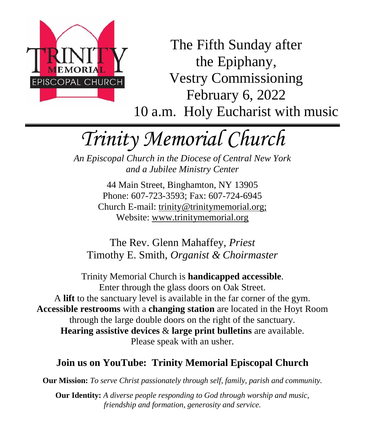

The Fifth Sunday after the Epiphany, Vestry Commissioning February 6, 2022 10 a.m. Holy Eucharist with music

# *Trinity Memorial Church*

*An Episcopal Church in the Diocese of Central New York and a Jubilee Ministry Center*

> 44 Main Street, Binghamton, NY 13905 Phone: 607-723-3593; Fax: 607-724-6945 Church E-mail: trinity@trinitymemorial.org; Website: www.trinitymemorial.org

The Rev. Glenn Mahaffey, *Priest* Timothy E. Smith, *Organist & Choirmaster* 

Trinity Memorial Church is **handicapped accessible**. Enter through the glass doors on Oak Street. A **lift** to the sanctuary level is available in the far corner of the gym. **Accessible restrooms** with a **changing station** are located in the Hoyt Room through the large double doors on the right of the sanctuary. **Hearing assistive devices** & **large print bulletins** are available. Please speak with an usher.

# **Join us on YouTube: Trinity Memorial Episcopal Church**

**Our Mission:** *To serve Christ passionately through self, family, parish and community.*

**Our Identity:** *A diverse people responding to God through worship and music, friendship and formation, generosity and service.*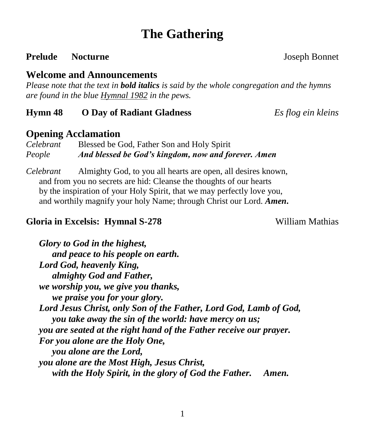# **The Gathering**

#### **Prelude Nocturne** Joseph Bonnet

### **Welcome and Announcements**

*Please note that the text in bold italics is said by the whole congregation and the hymns are found in the blue Hymnal 1982 in the pews.*

#### **Hymn 48 O Day of Radiant Gladness** *Es flog ein kleins*

### **Opening Acclamation**

*Celebrant* Blessed be God, Father Son and Holy Spirit *People And blessed be God's kingdom, now and forever. Amen*

*Celebrant* Almighty God, to you all hearts are open, all desires known, and from you no secrets are hid: Cleanse the thoughts of our hearts by the inspiration of your Holy Spirit, that we may perfectly love you, and worthily magnify your holy Name; through Christ our Lord. *Amen***.**

### **Gloria in Excelsis: Hymnal S-278** William Mathias

*Glory to God in the highest, and peace to his people on earth. Lord God, heavenly King, almighty God and Father, we worship you, we give you thanks, we praise you for your glory. Lord Jesus Christ, only Son of the Father, Lord God, Lamb of God, you take away the sin of the world: have mercy on us; you are seated at the right hand of the Father receive our prayer. For you alone are the Holy One, you alone are the Lord, you alone are the Most High, Jesus Christ, with the Holy Spirit, in the glory of God the Father. Amen.*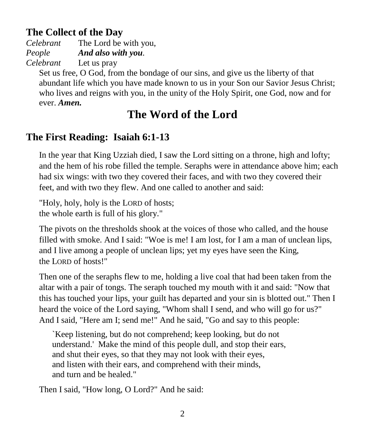# **The Collect of the Day**

*Celebrant* The Lord be with you, *People And also with you. Celebrant* Let us pray Set us free, O God, from the bondage of our sins, and give us the liberty of that abundant life which you have made known to us in your Son our Savior Jesus Christ;

who lives and reigns with you, in the unity of the Holy Spirit, one God, now and for ever. *Amen.*

# **The Word of the Lord**

# **The First Reading: Isaiah 6:1-13**

In the year that King Uzziah died, I saw the Lord sitting on a throne, high and lofty; and the hem of his robe filled the temple. Seraphs were in attendance above him; each had six wings: with two they covered their faces, and with two they covered their feet, and with two they flew. And one called to another and said:

"Holy, holy, holy is the LORD of hosts; the whole earth is full of his glory."

The pivots on the thresholds shook at the voices of those who called, and the house filled with smoke. And I said: "Woe is me! I am lost, for I am a man of unclean lips, and I live among a people of unclean lips; yet my eyes have seen the King, the LORD of hosts!"

Then one of the seraphs flew to me, holding a live coal that had been taken from the altar with a pair of tongs. The seraph touched my mouth with it and said: "Now that this has touched your lips, your guilt has departed and your sin is blotted out." Then I heard the voice of the Lord saying, "Whom shall I send, and who will go for us?" And I said, "Here am I; send me!" And he said, "Go and say to this people:

`Keep listening, but do not comprehend; keep looking, but do not understand.' Make the mind of this people dull, and stop their ears, and shut their eyes, so that they may not look with their eyes, and listen with their ears, and comprehend with their minds, and turn and be healed."

Then I said, "How long, O Lord?" And he said: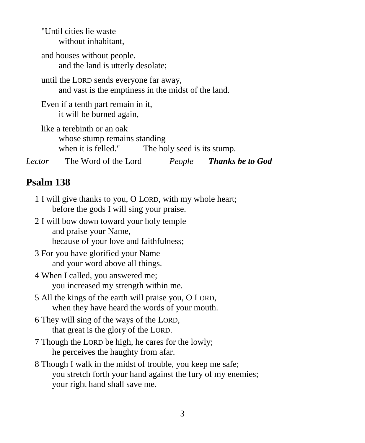"Until cities lie waste without inhabitant,

and houses without people, and the land is utterly desolate;

until the LORD sends everyone far away, and vast is the emptiness in the midst of the land.

Even if a tenth part remain in it, it will be burned again,

like a terebinth or an oak whose stump remains standing when it is felled." The holy seed is its stump.

*Lector* The Word of the Lord *People Thanks be to God*

### **Psalm 138**

- 1 I will give thanks to you, O LORD, with my whole heart; before the gods I will sing your praise.
- 2 I will bow down toward your holy temple and praise your Name, because of your love and faithfulness;
- 3 For you have glorified your Name and your word above all things.
- 4 When I called, you answered me; you increased my strength within me.
- 5 All the kings of the earth will praise you, O LORD, when they have heard the words of your mouth.
- 6 They will sing of the ways of the LORD, that great is the glory of the LORD.
- 7 Though the LORD be high, he cares for the lowly; he perceives the haughty from afar.
- 8 Though I walk in the midst of trouble, you keep me safe; you stretch forth your hand against the fury of my enemies; your right hand shall save me.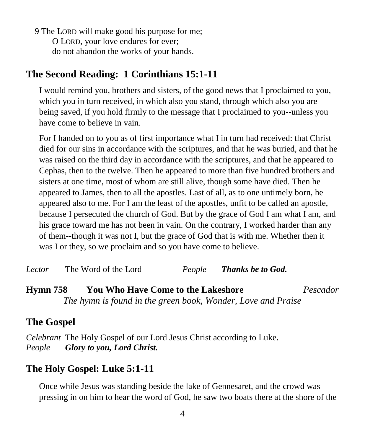9 The LORD will make good his purpose for me; O LORD, your love endures for ever; do not abandon the works of your hands.

#### **The Second Reading: 1 Corinthians 15:1-11**

I would remind you, brothers and sisters, of the good news that I proclaimed to you, which you in turn received, in which also you stand, through which also you are being saved, if you hold firmly to the message that I proclaimed to you--unless you have come to believe in vain.

For I handed on to you as of first importance what I in turn had received: that Christ died for our sins in accordance with the scriptures, and that he was buried, and that he was raised on the third day in accordance with the scriptures, and that he appeared to Cephas, then to the twelve. Then he appeared to more than five hundred brothers and sisters at one time, most of whom are still alive, though some have died. Then he appeared to James, then to all the apostles. Last of all, as to one untimely born, he appeared also to me. For I am the least of the apostles, unfit to be called an apostle, because I persecuted the church of God. But by the grace of God I am what I am, and his grace toward me has not been in vain. On the contrary, I worked harder than any of them--though it was not I, but the grace of God that is with me. Whether then it was I or they, so we proclaim and so you have come to believe.

*Lector* The Word of the Lord *People Thanks be to God.*

**Hymn 758 You Who Have Come to the Lakeshore** *Pescador The hymn is found in the green book, Wonder, Love and Praise*

### **The Gospel**

*Celebrant* The Holy Gospel of our Lord Jesus Christ according to Luke. *People Glory to you, Lord Christ.*

### **The Holy Gospel: Luke 5:1-11**

Once while Jesus was standing beside the lake of Gennesaret, and the crowd was pressing in on him to hear the word of God, he saw two boats there at the shore of the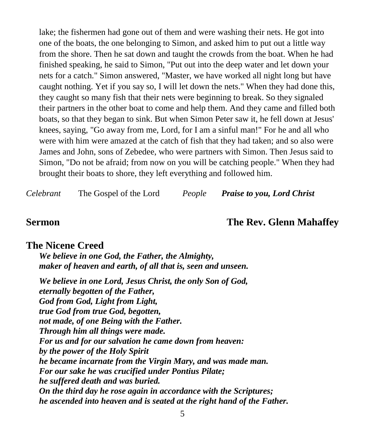lake; the fishermen had gone out of them and were washing their nets. He got into one of the boats, the one belonging to Simon, and asked him to put out a little way from the shore. Then he sat down and taught the crowds from the boat. When he had finished speaking, he said to Simon, "Put out into the deep water and let down your nets for a catch." Simon answered, "Master, we have worked all night long but have caught nothing. Yet if you say so, I will let down the nets." When they had done this, they caught so many fish that their nets were beginning to break. So they signaled their partners in the other boat to come and help them. And they came and filled both boats, so that they began to sink. But when Simon Peter saw it, he fell down at Jesus' knees, saying, "Go away from me, Lord, for I am a sinful man!" For he and all who were with him were amazed at the catch of fish that they had taken; and so also were James and John, sons of Zebedee, who were partners with Simon. Then Jesus said to Simon, "Do not be afraid; from now on you will be catching people." When they had brought their boats to shore, they left everything and followed him.

*Celebrant* The Gospel of the Lord *People Praise to you, Lord Christ*

**Sermon The Rev. Glenn Mahaffey**

#### **The Nicene Creed**

*We believe in one God, the Father, the Almighty, maker of heaven and earth, of all that is, seen and unseen.*

*We believe in one Lord, Jesus Christ, the only Son of God, eternally begotten of the Father, God from God, Light from Light, true God from true God, begotten, not made, of one Being with the Father. Through him all things were made. For us and for our salvation he came down from heaven: by the power of the Holy Spirit he became incarnate from the Virgin Mary, and was made man. For our sake he was crucified under Pontius Pilate; he suffered death and was buried. On the third day he rose again in accordance with the Scriptures; he ascended into heaven and is seated at the right hand of the Father.*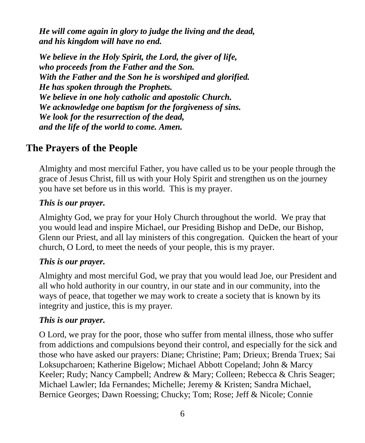*He will come again in glory to judge the living and the dead, and his kingdom will have no end.*

*We believe in the Holy Spirit, the Lord, the giver of life, who proceeds from the Father and the Son. With the Father and the Son he is worshiped and glorified. He has spoken through the Prophets. We believe in one holy catholic and apostolic Church. We acknowledge one baptism for the forgiveness of sins. We look for the resurrection of the dead, and the life of the world to come. Amen.*

# **The Prayers of the People**

Almighty and most merciful Father, you have called us to be your people through the grace of Jesus Christ, fill us with your Holy Spirit and strengthen us on the journey you have set before us in this world. This is my prayer.

#### *This is our prayer.*

Almighty God, we pray for your Holy Church throughout the world. We pray that you would lead and inspire Michael, our Presiding Bishop and DeDe, our Bishop, Glenn our Priest, and all lay ministers of this congregation. Quicken the heart of your church, O Lord, to meet the needs of your people, this is my prayer.

#### *This is our prayer.*

Almighty and most merciful God, we pray that you would lead Joe, our President and all who hold authority in our country, in our state and in our community, into the ways of peace, that together we may work to create a society that is known by its integrity and justice, this is my prayer.

#### *This is our prayer.*

O Lord, we pray for the poor, those who suffer from mental illness, those who suffer from addictions and compulsions beyond their control, and especially for the sick and those who have asked our prayers: Diane; Christine; Pam; Drieux; Brenda Truex; Sai Loksupcharoen; Katherine Bigelow; Michael Abbott Copeland; John & Marcy Keeler; Rudy; Nancy Campbell; Andrew & Mary; Colleen; Rebecca & Chris Seager; Michael Lawler; Ida Fernandes; Michelle; Jeremy & Kristen; Sandra Michael, Bernice Georges; Dawn Roessing; Chucky; Tom; Rose; Jeff & Nicole; Connie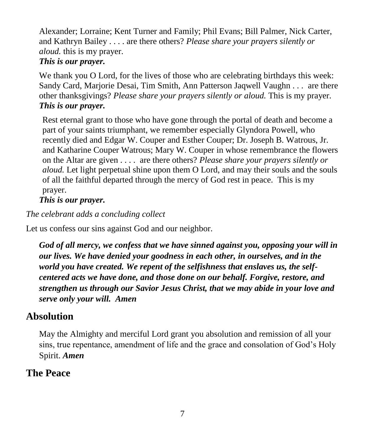Alexander; Lorraine; Kent Turner and Family; Phil Evans; Bill Palmer, Nick Carter, and Kathryn Bailey . . . . are there others? *Please share your prayers silently or aloud.* this is my prayer. *This is our prayer.* 

We thank you O Lord, for the lives of those who are celebrating birthdays this week: Sandy Card, Marjorie Desai, Tim Smith, Ann Patterson Jaqwell Vaughn . . . are there other thanksgivings? *Please share your prayers silently or aloud.* This is my prayer. *This is our prayer.* 

Rest eternal grant to those who have gone through the portal of death and become a part of your saints triumphant, we remember especially Glyndora Powell, who recently died and Edgar W. Couper and Esther Couper; Dr. Joseph B. Watrous, Jr. and Katharine Couper Watrous; Mary W. Couper in whose remembrance the flowers on the Altar are given . . . . are there others? *Please share your prayers silently or aloud.* Let light perpetual shine upon them O Lord, and may their souls and the souls of all the faithful departed through the mercy of God rest in peace. This is my prayer.

#### *This is our prayer.*

*The celebrant adds a concluding collect* 

Let us confess our sins against God and our neighbor.

*God of all mercy, we confess that we have sinned against you, opposing your will in our lives. We have denied your goodness in each other, in ourselves, and in the world you have created. We repent of the selfishness that enslaves us, the selfcentered acts we have done, and those done on our behalf. Forgive, restore, and strengthen us through our Savior Jesus Christ, that we may abide in your love and serve only your will. Amen*

### **Absolution**

May the Almighty and merciful Lord grant you absolution and remission of all your sins, true repentance, amendment of life and the grace and consolation of God's Holy Spirit. *Amen*

# **The Peace**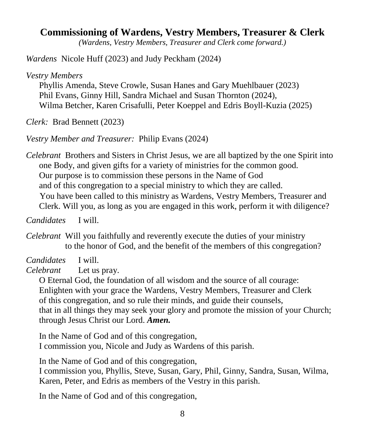### **Commissioning of Wardens, Vestry Members, Treasurer & Clerk**

*(Wardens, Vestry Members, Treasurer and Clerk come forward.)*

*Wardens* Nicole Huff (2023) and Judy Peckham (2024)

*Vestry Members*

Phyllis Amenda, Steve Crowle, Susan Hanes and Gary Muehlbauer (2023) Phil Evans, Ginny Hill, Sandra Michael and Susan Thornton (2024), Wilma Betcher, Karen Crisafulli, Peter Koeppel and Edris Boyll-Kuzia (2025)

*Clerk:* Brad Bennett (2023)

*Vestry Member and Treasurer:* Philip Evans (2024)

*Celebrant* Brothers and Sisters in Christ Jesus, we are all baptized by the one Spirit into one Body, and given gifts for a variety of ministries for the common good. Our purpose is to commission these persons in the Name of God and of this congregation to a special ministry to which they are called. You have been called to this ministry as Wardens, Vestry Members, Treasurer and Clerk. Will you, as long as you are engaged in this work, perform it with diligence?

*Candidates* I will.

*Celebrant* Will you faithfully and reverently execute the duties of your ministry to the honor of God, and the benefit of the members of this congregation?

*Candidates* I will.

*Celebrant* Let us pray.

O Eternal God, the foundation of all wisdom and the source of all courage: Enlighten with your grace the Wardens, Vestry Members, Treasurer and Clerk of this congregation, and so rule their minds, and guide their counsels, that in all things they may seek your glory and promote the mission of your Church; through Jesus Christ our Lord. *Amen.*

In the Name of God and of this congregation, I commission you, Nicole and Judy as Wardens of this parish.

In the Name of God and of this congregation,

I commission you, Phyllis, Steve, Susan, Gary, Phil, Ginny, Sandra, Susan, Wilma, Karen, Peter, and Edris as members of the Vestry in this parish.

In the Name of God and of this congregation,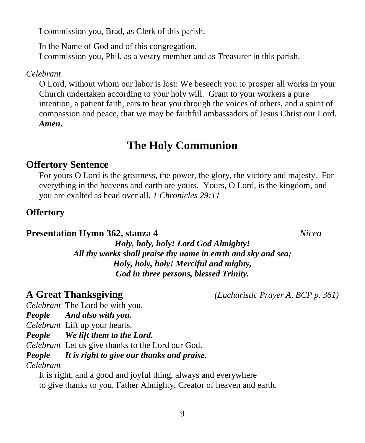I commission you, Brad, as Clerk of this parish.

In the Name of God and of this congregation,

I commission you, Phil, as a vestry member and as Treasurer in this parish.

#### *Celebrant*

O Lord, without whom our labor is lost: We beseech you to prosper all works in your Church undertaken according to your holy will. Grant to your workers a pure intention, a patient faith, ears to hear you through the voices of others, and a spirit of compassion and peace, that we may be faithful ambassadors of Jesus Christ our Lord. *Amen***.**

# **The Holy Communion**

### **Offertory Sentence**

For yours O Lord is the greatness, the power, the glory, the victory and majesty. For everything in the heavens and earth are yours. Yours, O Lord, is the kingdom, and you are exalted as head over all. *1 Chronicles 29:11*

#### **Offertory**

#### **Presentation Hymn 362, stanza 4** *Nicea*

*Holy, holy, holy! Lord God Almighty! All thy works shall praise thy name in earth and sky and sea; Holy, holy, holy! Merciful and mighty, God in three persons, blessed Trinity.*

**A Great Thanksgiving** *(Eucharistic Prayer A, BCP p. 361)*

*Celebrant* The Lord be with you.

*People And also with you***.**

*Celebrant* Lift up your hearts.

*People We lift them to the Lord.*

*Celebrant* Let us give thanks to the Lord our God.

*People It is right to give our thanks and praise.*

*Celebrant* 

It is right, and a good and joyful thing, always and everywhere to give thanks to you, Father Almighty, Creator of heaven and earth.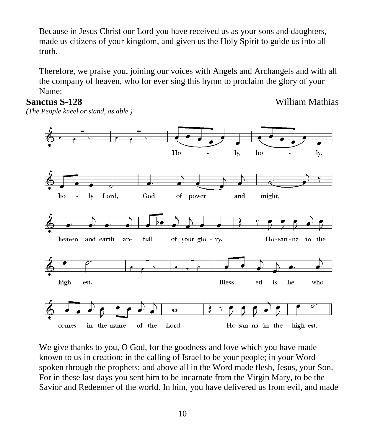Because in Jesus Christ our Lord you have received us as your sons and daughters, made us citizens of your kingdom, and given us the Holy Spirit to guide us into all truth.

Therefore, we praise you, joining our voices with Angels and Archangels and with all the company of heaven, who for ever sing this hymn to proclaim the glory of your Name:

**Sanctus S-128** William Mathias



We give thanks to you, O God, for the goodness and love which you have made known to us in creation; in the calling of Israel to be your people; in your Word spoken through the prophets; and above all in the Word made flesh, Jesus, your Son. For in these last days you sent him to be incarnate from the Virgin Mary, to be the Savior and Redeemer of the world. In him, you have delivered us from evil, and made

*(The People kneel or stand, as able.)*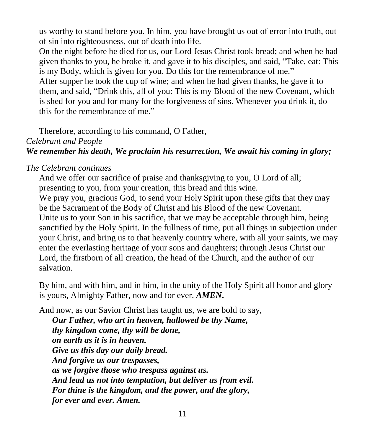us worthy to stand before you. In him, you have brought us out of error into truth, out of sin into righteousness, out of death into life.

On the night before he died for us, our Lord Jesus Christ took bread; and when he had given thanks to you, he broke it, and gave it to his disciples, and said, "Take, eat: This is my Body, which is given for you. Do this for the remembrance of me."

After supper he took the cup of wine; and when he had given thanks, he gave it to them, and said, "Drink this, all of you: This is my Blood of the new Covenant, which is shed for you and for many for the forgiveness of sins. Whenever you drink it, do this for the remembrance of me."

Therefore, according to his command, O Father,

#### *Celebrant and People*

#### *We remember his death, We proclaim his resurrection, We await his coming in glory;*

#### *The Celebrant continues*

And we offer our sacrifice of praise and thanksgiving to you, O Lord of all; presenting to you, from your creation, this bread and this wine.

We pray you, gracious God, to send your Holy Spirit upon these gifts that they may be the Sacrament of the Body of Christ and his Blood of the new Covenant. Unite us to your Son in his sacrifice, that we may be acceptable through him, being sanctified by the Holy Spirit. In the fullness of time, put all things in subjection under your Christ, and bring us to that heavenly country where, with all your saints, we may enter the everlasting heritage of your sons and daughters; through Jesus Christ our Lord, the firstborn of all creation, the head of the Church, and the author of our salvation.

By him, and with him, and in him, in the unity of the Holy Spirit all honor and glory is yours, Almighty Father, now and for ever. *AMEN***.**

And now, as our Savior Christ has taught us, we are bold to say,

*Our Father, who art in heaven, hallowed be thy Name, thy kingdom come, thy will be done, on earth as it is in heaven. Give us this day our daily bread. And forgive us our trespasses, as we forgive those who trespass against us. And lead us not into temptation, but deliver us from evil. For thine is the kingdom, and the power, and the glory, for ever and ever. Amen.*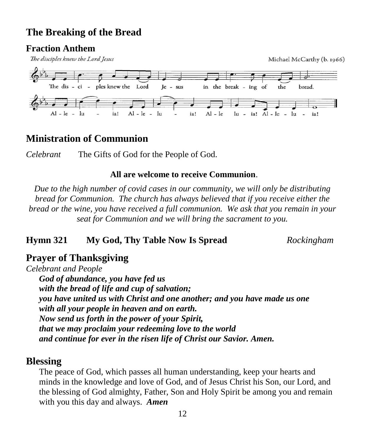# **The Breaking of the Bread**

#### **Fraction Anthem**



# **Ministration of Communion**

*Celebrant* The Gifts of God for the People of God.

#### **All are welcome to receive Communion**.

*Due to the high number of covid cases in our community, we will only be distributing bread for Communion. The church has always believed that if you receive either the bread or the wine, you have received a full communion. We ask that you remain in your seat for Communion and we will bring the sacrament to you.*

#### **Hymn 321 My God, Thy Table Now Is Spread** *Rockingham*

### **Prayer of Thanksgiving**

*Celebrant and People God of abundance, you have fed us with the bread of life and cup of salvation; you have united us with Christ and one another; and you have made us one with all your people in heaven and on earth. Now send us forth in the power of your Spirit, that we may proclaim your redeeming love to the world and continue for ever in the risen life of Christ our Savior. Amen.*

#### **Blessing**

The peace of God, which passes all human understanding, keep your hearts and minds in the knowledge and love of God, and of Jesus Christ his Son, our Lord, and the blessing of God almighty, Father, Son and Holy Spirit be among you and remain with you this day and always. *Amen*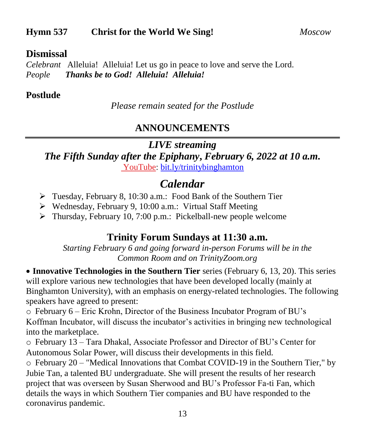#### **Hymn 537 Christ for the World We Sing!** *Moscow*

#### **Dismissal**

*Celebrant* Alleluia! Alleluia! Let us go in peace to love and serve the Lord. *People Thanks be to God! Alleluia! Alleluia!*

### **Postlude**

*Please remain seated for the Postlude*

# **ANNOUNCEMENTS**

# *LIVE streaming*

*The Fifth Sunday after the Epiphany***,** *February 6, 2022 at 10 a.m.* [YouTube:](https://bit.ly/trinitybinghamton) [bit.ly/trinitybinghamton](https://bit.ly/trinitybinghamton)

# *Calendar*

- ➢ Tuesday, February 8, 10:30 a.m.: Food Bank of the Southern Tier
- ➢ Wednesday, February 9, 10:00 a.m.: Virtual Staff Meeting
- ➢ Thursday, February 10, 7:00 p.m.: Pickelball-new people welcome

# **Trinity Forum Sundays at 11:30 a.m.**

*Starting February 6 and going forward in-person Forums will be in the Common Room and on TrinityZoom.org*

• **Innovative Technologies in the Southern Tier** series (February 6, 13, 20). This series will explore various new technologies that have been developed locally (mainly at Binghamton University), with an emphasis on energy-related technologies. The following speakers have agreed to present:

o February 6 – Eric Krohn, Director of the Business Incubator Program of BU's Koffman Incubator, will discuss the incubator's activities in bringing new technological into the marketplace.

o February 13 – Tara Dhakal, Associate Professor and Director of BU's Center for Autonomous Solar Power, will discuss their developments in this field.

o February 20 – "Medical Innovations that Combat COVID-19 in the Southern Tier," by Jubie Tan, a talented BU undergraduate. She will present the results of her research project that was overseen by Susan Sherwood and BU's Professor Fa-ti Fan, which details the ways in which Southern Tier companies and BU have responded to the coronavirus pandemic.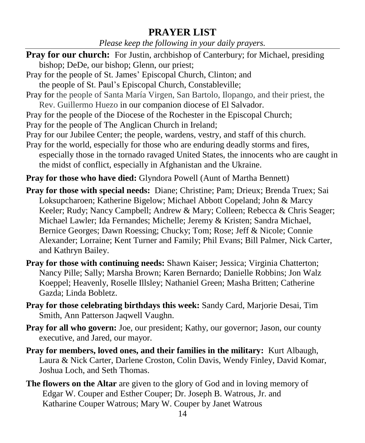### **PRAYER LIST**

*Please keep the following in your daily prayers.*

- **Pray for our church:** For Justin, archbishop of Canterbury; for Michael, presiding bishop; DeDe, our bishop; Glenn, our priest;
- Pray for the people of St. James' Episcopal Church, Clinton; and the people of St. Paul's Episcopal Church, Constableville;
- Pray for the people of Santa María Virgen, San Bartolo, Ilopango, and their priest, the Rev. Guillermo Huezo in our companion diocese of El Salvador.
- Pray for the people of the Diocese of the Rochester in the Episcopal Church;
- Pray for the people of The Anglican Church in Ireland;
- Pray for our Jubilee Center; the people, wardens, vestry, and staff of this church.
- Pray for the world, especially for those who are enduring deadly storms and fires, especially those in the tornado ravaged United States, the innocents who are caught in the midst of conflict, especially in Afghanistan and the Ukraine.

**Pray for those who have died:** Glyndora Powell (Aunt of Martha Bennett)

- **Pray for those with special needs:** Diane; Christine; Pam; Drieux; Brenda Truex; Sai Loksupcharoen; Katherine Bigelow; Michael Abbott Copeland; John & Marcy Keeler; Rudy; Nancy Campbell; Andrew & Mary; Colleen; Rebecca & Chris Seager; Michael Lawler; Ida Fernandes; Michelle; Jeremy & Kristen; Sandra Michael, Bernice Georges; Dawn Roessing; Chucky; Tom; Rose; Jeff & Nicole; Connie Alexander; Lorraine; Kent Turner and Family; Phil Evans; Bill Palmer, Nick Carter, and Kathryn Bailey.
- **Pray for those with continuing needs:** Shawn Kaiser; Jessica; Virginia Chatterton; Nancy Pille; Sally; Marsha Brown; Karen Bernardo; Danielle Robbins; Jon Walz Koeppel; Heavenly, Roselle Illsley; Nathaniel Green; Masha Britten; Catherine Gazda; Linda Bobletz.
- **Pray for those celebrating birthdays this week:** Sandy Card, Marjorie Desai, Tim Smith, Ann Patterson Jaqwell Vaughn.
- **Pray for all who govern:** Joe, our president; Kathy, our governor; Jason, our county executive, and Jared, our mayor.
- **Pray for members, loved ones, and their families in the military:** Kurt Albaugh, Laura & Nick Carter, Darlene Croston, Colin Davis, Wendy Finley, David Komar, Joshua Loch, and Seth Thomas.
- **The flowers on the Altar** are given to the glory of God and in loving memory of Edgar W. Couper and Esther Couper; Dr. Joseph B. Watrous, Jr. and Katharine Couper Watrous; Mary W. Couper by Janet Watrous